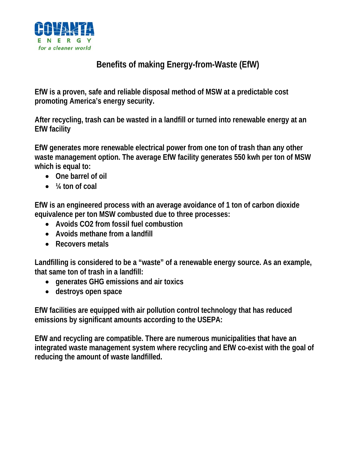

## **Benefits of making Energy-from-Waste (EfW)**

**EfW is a proven, safe and reliable disposal method of MSW at a predictable cost promoting America's energy security.** 

**After recycling, trash can be wasted in a landfill or turned into renewable energy at an EfW facility** 

**EfW generates more renewable electrical power from one ton of trash than any other waste management option. The average EfW facility generates 550 kwh per ton of MSW which is equal to:** 

- **One barrel of oil**
- **¼ ton of coal**

**EfW is an engineered process with an average avoidance of 1 ton of carbon dioxide equivalence per ton MSW combusted due to three processes:** 

- **Avoids CO2 from fossil fuel combustion**
- **Avoids methane from a landfill**
- **Recovers metals**

**Landfilling is considered to be a "waste" of a renewable energy source. As an example, that same ton of trash in a landfill:** 

- **generates GHG emissions and air toxics**
- **destroys open space**

**EfW facilities are equipped with air pollution control technology that has reduced emissions by significant amounts according to the USEPA:** 

**EfW and recycling are compatible. There are numerous municipalities that have an integrated waste management system where recycling and EfW co-exist with the goal of reducing the amount of waste landfilled.**